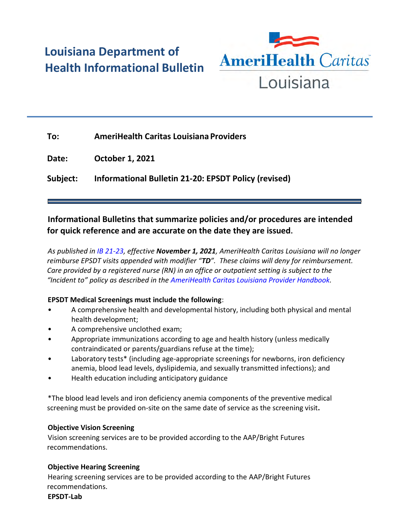# **Louisiana Department of Health Informational Bulletin**



| To:      | <b>AmeriHealth Caritas Louisiana Providers</b>       |
|----------|------------------------------------------------------|
| Date:    | <b>October 1, 2021</b>                               |
| Subject: | Informational Bulletin 21-20: EPSDT Policy (revised) |

## **Informational Bulletins that summarize policies and/or procedures are intended for quick reference and are accurate on the date they are issued.**

*As published in [IB 21-23,](https://ldh.la.gov/assets/docs/BayouHealth/Informational_Bulletins/2021/IB21-23.pdf) effective November 1, 2021, AmeriHealth Caritas Louisiana will no longer reimburse EPSDT visits appended with modifier "TD". These claims will deny for reimbursement. Care provided by a registered nurse (RN) in an office or outpatient setting is subject to the "Incident to" policy as described in the [AmeriHealth Caritas Louisiana Provider Handbook.](https://www.amerihealthcaritasla.com/provider/resources/manual/index.aspx)* 

### **EPSDT Medical Screenings must include the following**:

- A comprehensive health and developmental history, including both physical and mental health development;
- A comprehensive unclothed exam;
- Appropriate immunizations according to age and health history (unless medically contraindicated or parents/guardians refuse at the time);
- Laboratory tests\* (including age-appropriate screenings for newborns, iron deficiency anemia, blood lead levels, dyslipidemia, and sexually transmitted infections); and
- Health education including anticipatory guidance

\*The blood lead levels and iron deficiency anemia components of the preventive medical screening must be provided on-site on the same date of service as the screening visit**.**

### **Objective Vision Screening**

Vision screening services are to be provided according to the AAP/Bright Futures recommendations.

### **Objective Hearing Screening**

Hearing screening services are to be provided according to the AAP/Bright Futures recommendations.